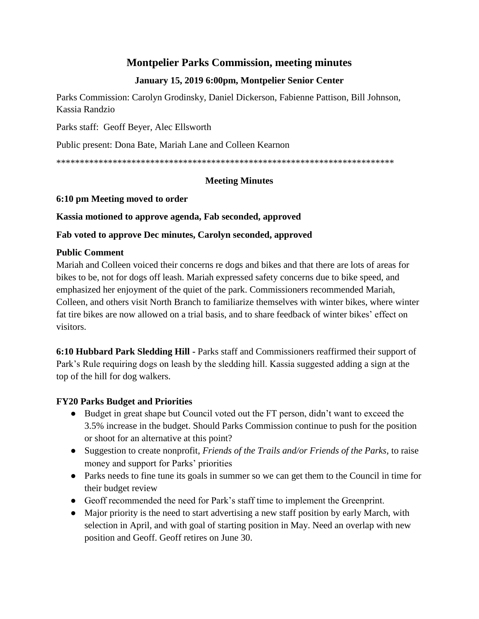# **Montpelier Parks Commission, meeting minutes**

## **January 15, 2019 6:00pm, Montpelier Senior Center**

Parks Commission: Carolyn Grodinsky, Daniel Dickerson, Fabienne Pattison, Bill Johnson, Kassia Randzio

Parks staff: Geoff Beyer, Alec Ellsworth

Public present: Dona Bate, Mariah Lane and Colleen Kearnon

\*\*\*\*\*\*\*\*\*\*\*\*\*\*\*\*\*\*\*\*\*\*\*\*\*\*\*\*\*\*\*\*\*\*\*\*\*\*\*\*\*\*\*\*\*\*\*\*\*\*\*\*\*\*\*\*\*\*\*\*\*\*\*\*\*\*\*\*\*\*\*\*

#### **Meeting Minutes**

#### **6:10 pm Meeting moved to order**

#### **Kassia motioned to approve agenda, Fab seconded, approved**

## **Fab voted to approve Dec minutes, Carolyn seconded, approved**

## **Public Comment**

Mariah and Colleen voiced their concerns re dogs and bikes and that there are lots of areas for bikes to be, not for dogs off leash. Mariah expressed safety concerns due to bike speed, and emphasized her enjoyment of the quiet of the park. Commissioners recommended Mariah, Colleen, and others visit North Branch to familiarize themselves with winter bikes, where winter fat tire bikes are now allowed on a trial basis, and to share feedback of winter bikes' effect on visitors.

**6:10 Hubbard Park Sledding Hill -** Parks staff and Commissioners reaffirmed their support of Park's Rule requiring dogs on leash by the sledding hill. Kassia suggested adding a sign at the top of the hill for dog walkers.

## **FY20 Parks Budget and Priorities**

- Budget in great shape but Council voted out the FT person, didn't want to exceed the 3.5% increase in the budget. Should Parks Commission continue to push for the position or shoot for an alternative at this point?
- Suggestion to create nonprofit, *Friends of the Trails and/or Friends of the Parks,* to raise money and support for Parks' priorities
- Parks needs to fine tune its goals in summer so we can get them to the Council in time for their budget review
- Geoff recommended the need for Park's staff time to implement the Greenprint.
- Major priority is the need to start advertising a new staff position by early March, with selection in April, and with goal of starting position in May. Need an overlap with new position and Geoff. Geoff retires on June 30.